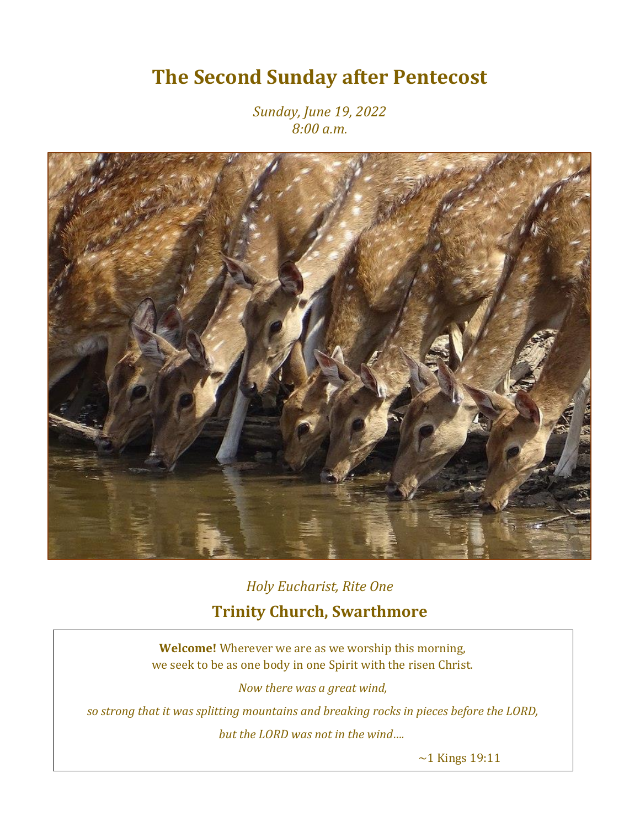# **The Second Sunday after Pentecost**

*Sunday, June 19, 2022 8:00 a.m.*



*Holy Eucharist, Rite One* **Trinity Church, Swarthmore**

**Welcome!** Wherever we are as we worship this morning, we seek to be as one body in one Spirit with the risen Christ.

*Now there was a great wind,* 

*so strong that it was splitting mountains and breaking rocks in pieces before the LORD, but the LORD was not in the wind….*

 $\sim$ 1 Kings 19:11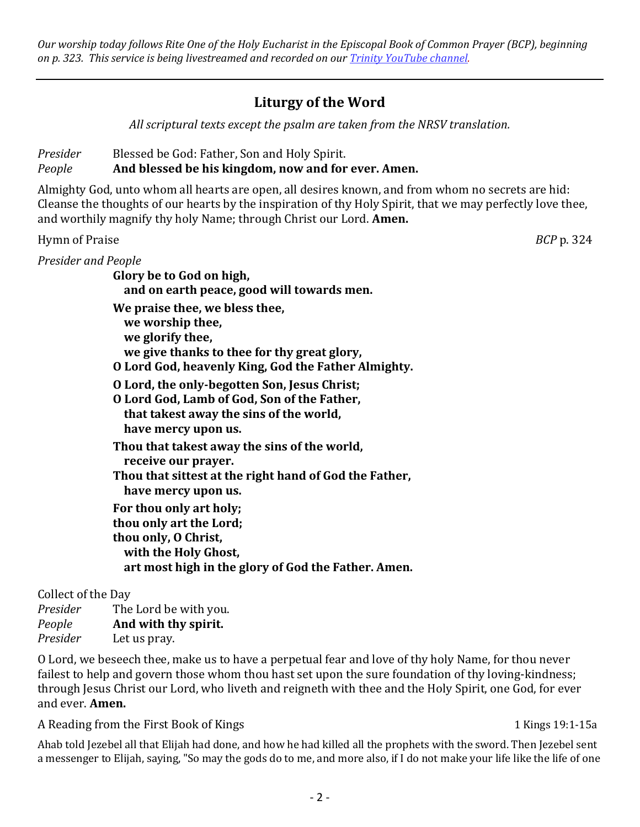*Our worship today follows Rite One of the Holy Eucharist in the Episcopal Book of Common Prayer (BCP), beginning on p. 323. This service is being livestreamed and recorded on ou[r Trinity YouTube channel.](https://www.youtube.com/channel/UCRIVWlpuu9UprbAGDkhtLLA)*

# **Liturgy of the Word**

*All scriptural texts except the psalm are taken from the NRSV translation.*

*Presider* Blessed be God: Father, Son and Holy Spirit.

#### *People* **And blessed be his kingdom, now and for ever. Amen.**

Almighty God, unto whom all hearts are open, all desires known, and from whom no secrets are hid: Cleanse the thoughts of our hearts by the inspiration of thy Holy Spirit, that we may perfectly love thee, and worthily magnify thy holy Name; through Christ our Lord. **Amen.**

Hymn of Praise *BCP* p. 324

*Presider and People*

**Glory be to God on high, and on earth peace, good will towards men. We praise thee, we bless thee, we worship thee, we glorify thee, we give thanks to thee for thy great glory, O Lord God, heavenly King, God the Father Almighty. O Lord, the only-begotten Son, Jesus Christ; O Lord God, Lamb of God, Son of the Father, that takest away the sins of the world, have mercy upon us. Thou that takest away the sins of the world, receive our prayer. Thou that sittest at the right hand of God the Father, have mercy upon us. For thou only art holy; thou only art the Lord; thou only, O Christ, with the Holy Ghost, art most high in the glory of God the Father. Amen.**

### Collect of the Day

*Presider* The Lord be with you. *People* **And with thy spirit.** *Presider* Let us pray.

O Lord, we beseech thee, make us to have a perpetual fear and love of thy holy Name, for thou never failest to help and govern those whom thou hast set upon the sure foundation of thy loving-kindness; through Jesus Christ our Lord, who liveth and reigneth with thee and the Holy Spirit, one God, for ever and ever. **Amen.**

A Reading from the First Book of Kings 1 Kings 19:1-15a

Ahab told Jezebel all that Elijah had done, and how he had killed all the prophets with the sword. Then Jezebel sent a messenger to Elijah, saying, "So may the gods do to me, and more also, if I do not make your life like the life of one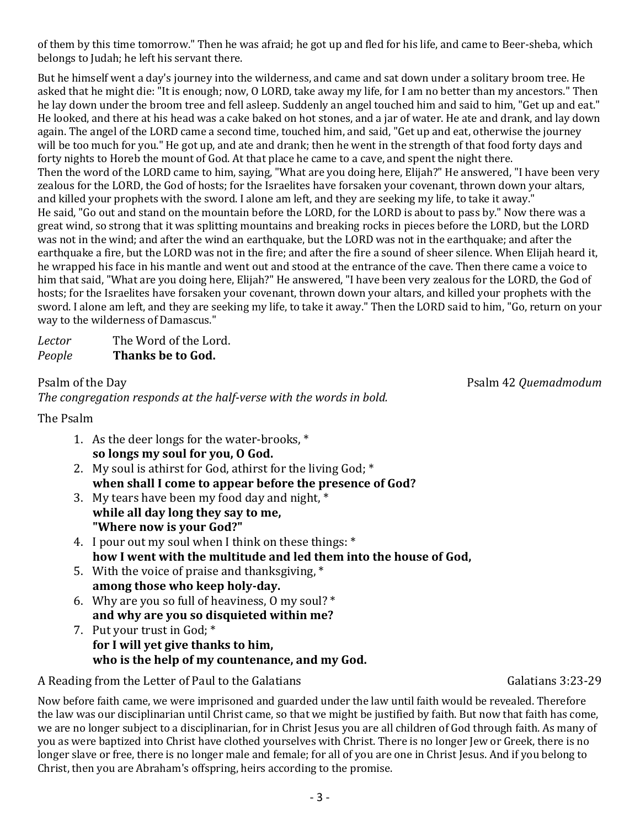of them by this time tomorrow." Then he was afraid; he got up and fled for his life, and came to Beer-sheba, which belongs to Judah; he left his servant there.

But he himself went a day's journey into the wilderness, and came and sat down under a solitary broom tree. He asked that he might die: "It is enough; now, O LORD, take away my life, for I am no better than my ancestors." Then he lay down under the broom tree and fell asleep. Suddenly an angel touched him and said to him, "Get up and eat." He looked, and there at his head was a cake baked on hot stones, and a jar of water. He ate and drank, and lay down again. The angel of the LORD came a second time, touched him, and said, "Get up and eat, otherwise the journey will be too much for you." He got up, and ate and drank; then he went in the strength of that food forty days and forty nights to Horeb the mount of God. At that place he came to a cave, and spent the night there. Then the word of the LORD came to him, saying, "What are you doing here, Elijah?" He answered, "I have been very zealous for the LORD, the God of hosts; for the Israelites have forsaken your covenant, thrown down your altars, and killed your prophets with the sword. I alone am left, and they are seeking my life, to take it away." He said, "Go out and stand on the mountain before the LORD, for the LORD is about to pass by." Now there was a great wind, so strong that it was splitting mountains and breaking rocks in pieces before the LORD, but the LORD was not in the wind; and after the wind an earthquake, but the LORD was not in the earthquake; and after the earthquake a fire, but the LORD was not in the fire; and after the fire a sound of sheer silence. When Elijah heard it, he wrapped his face in his mantle and went out and stood at the entrance of the cave. Then there came a voice to him that said, "What are you doing here, Elijah?" He answered, "I have been very zealous for the LORD, the God of hosts; for the Israelites have forsaken your covenant, thrown down your altars, and killed your prophets with the sword. I alone am left, and they are seeking my life, to take it away." Then the LORD said to him, "Go, return on your way to the wilderness of Damascus."

| Lector | The Word of the Lord.    |
|--------|--------------------------|
| People | <b>Thanks be to God.</b> |

Psalm of the Day Psalm 42 *Quemadmodum The congregation responds at the half-verse with the words in bold.*

The Psalm

- 1. As the deer longs for the water-brooks, \* **so longs my soul for you, O God.**
- 2. My soul is athirst for God, athirst for the living God; \* **when shall I come to appear before the presence of God?**
- 3. My tears have been my food day and night, \* **while all day long they say to me, "Where now is your God?"**
- 4. I pour out my soul when I think on these things: \* **how I went with the multitude and led them into the house of God,**
- 5. With the voice of praise and thanksgiving, \* **among those who keep holy-day.**
- 6. Why are you so full of heaviness, O my soul? \* **and why are you so disquieted within me?**
- 7. Put your trust in God; \* **for I will yet give thanks to him, who is the help of my countenance, and my God.**

A Reading from the Letter of Paul to the Galatians Section And The Galatians 3:23-29

Now before faith came, we were imprisoned and guarded under the law until faith would be revealed. Therefore the law was our disciplinarian until Christ came, so that we might be justified by faith. But now that faith has come, we are no longer subject to a disciplinarian, for in Christ Jesus you are all children of God through faith. As many of you as were baptized into Christ have clothed yourselves with Christ. There is no longer Jew or Greek, there is no longer slave or free, there is no longer male and female; for all of you are one in Christ Jesus. And if you belong to Christ, then you are Abraham's offspring, heirs according to the promise.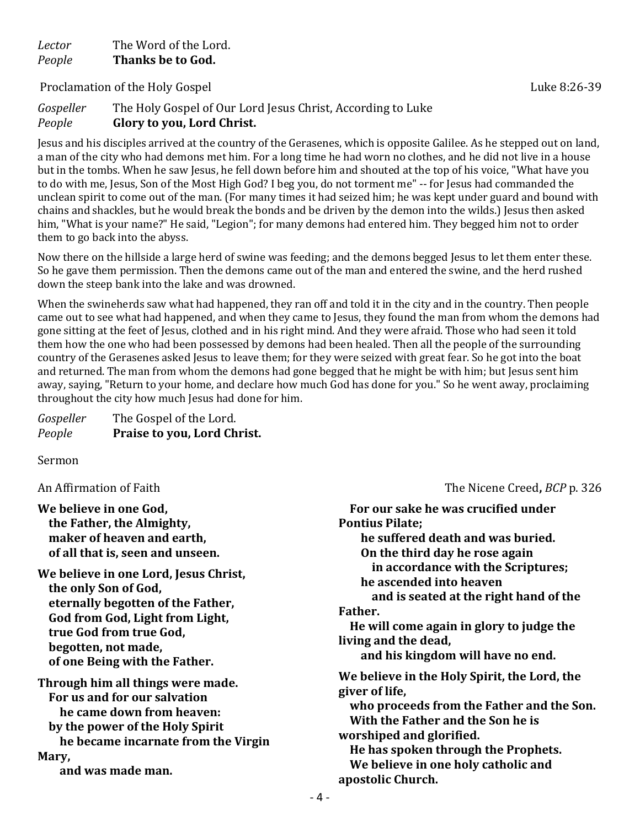*Lector* The Word of the Lord. *People* **Thanks be to God.**

Proclamation of the Holy Gospel Luke 8:26-39

#### *Gospeller* The Holy Gospel of Our Lord Jesus Christ, According to Luke *People* **Glory to you, Lord Christ.**

Jesus and his disciples arrived at the country of the Gerasenes, which is opposite Galilee. As he stepped out on land, a man of the city who had demons met him. For a long time he had worn no clothes, and he did not live in a house but in the tombs. When he saw Jesus, he fell down before him and shouted at the top of his voice, "What have you to do with me, Jesus, Son of the Most High God? I beg you, do not torment me" -- for Jesus had commanded the unclean spirit to come out of the man. (For many times it had seized him; he was kept under guard and bound with chains and shackles, but he would break the bonds and be driven by the demon into the wilds.) Jesus then asked him, "What is your name?" He said, "Legion"; for many demons had entered him. They begged him not to order them to go back into the abyss.

Now there on the hillside a large herd of swine was feeding; and the demons begged Jesus to let them enter these. So he gave them permission. Then the demons came out of the man and entered the swine, and the herd rushed down the steep bank into the lake and was drowned.

When the swineherds saw what had happened, they ran off and told it in the city and in the country. Then people came out to see what had happened, and when they came to Jesus, they found the man from whom the demons had gone sitting at the feet of Jesus, clothed and in his right mind. And they were afraid. Those who had seen it told them how the one who had been possessed by demons had been healed. Then all the people of the surrounding country of the Gerasenes asked Jesus to leave them; for they were seized with great fear. So he got into the boat and returned. The man from whom the demons had gone begged that he might be with him; but Jesus sent him away, saying, "Return to your home, and declare how much God has done for you." So he went away, proclaiming throughout the city how much Jesus had done for him.

| Gospeller | The Gospel of the Lord.     |
|-----------|-----------------------------|
| People    | Praise to you, Lord Christ. |

Sermon

**We believe in one God, the Father, the Almighty, maker of heaven and earth, of all that is, seen and unseen.**

**We believe in one Lord, Jesus Christ, the only Son of God, eternally begotten of the Father, God from God, Light from Light, true God from true God, begotten, not made, of one Being with the Father.**

**Through him all things were made. For us and for our salvation he came down from heaven: by the power of the Holy Spirit he became incarnate from the Virgin Mary,**

 **and was made man.**

An Affirmation of Faith The Nicene Creed, *BCP* p. 326

**Pontius Pilate; he suffered death and was buried. On the third day he rose again in accordance with the Scriptures; he ascended into heaven and is seated at the right hand of the Father. He will come again in glory to judge the living and the dead, and his kingdom will have no end. We believe in the Holy Spirit, the Lord, the giver of life, who proceeds from the Father and the Son. With the Father and the Son he is worshiped and glorified. He has spoken through the Prophets. We believe in one holy catholic and apostolic Church.**

**For our sake he was crucified under**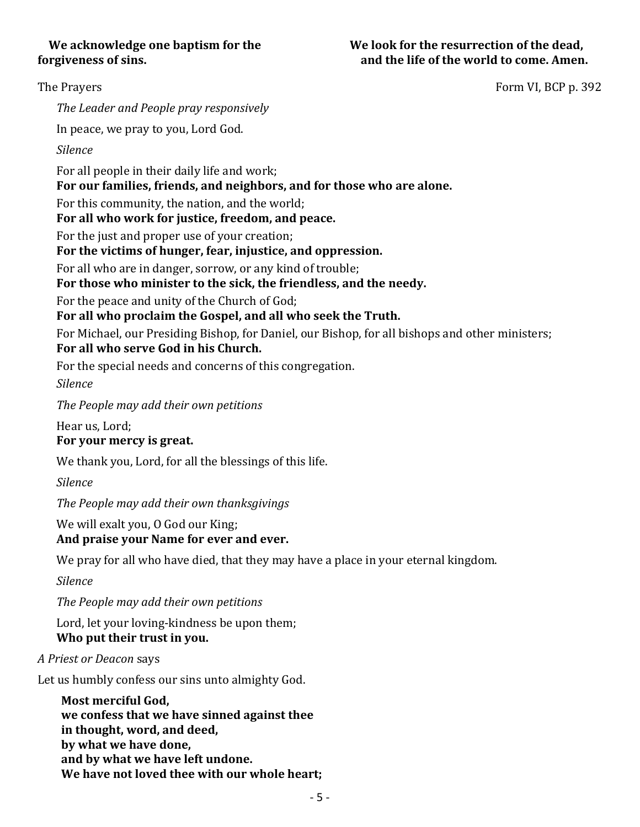#### **We acknowledge one baptism for the forgiveness of sins.**

#### **We look for the resurrection of the dead, and the life of the world to come. Amen.**

The Prayers Form VI, BCP p. 392

*The Leader and People pray responsively*

In peace, we pray to you, Lord God.

#### *Silence*

For all people in their daily life and work;

**For our families, friends, and neighbors, and for those who are alone.**

For this community, the nation, and the world;

**For all who work for justice, freedom, and peace.**

For the just and proper use of your creation;

**For the victims of hunger, fear, injustice, and oppression.**

For all who are in danger, sorrow, or any kind of trouble;

**For those who minister to the sick, the friendless, and the needy.**

For the peace and unity of the Church of God;

**For all who proclaim the Gospel, and all who seek the Truth.**

For Michael, our Presiding Bishop, for Daniel, our Bishop, for all bishops and other ministers; **For all who serve God in his Church.**

For the special needs and concerns of this congregation.

*Silence*

*The People may add their own petitions*

Hear us, Lord;

### **For your mercy is great.**

We thank you, Lord, for all the blessings of this life.

*Silence*

*The People may add their own thanksgivings*

We will exalt you, O God our King; **And praise your Name for ever and ever.**

We pray for all who have died, that they may have a place in your eternal kingdom.

*Silence*

*The People may add their own petitions*

Lord, let your loving-kindness be upon them; **Who put their trust in you.**

*A Priest or Deacon* says

Let us humbly confess our sins unto almighty God.

**Most merciful God, we confess that we have sinned against thee in thought, word, and deed, by what we have done, and by what we have left undone. We have not loved thee with our whole heart;**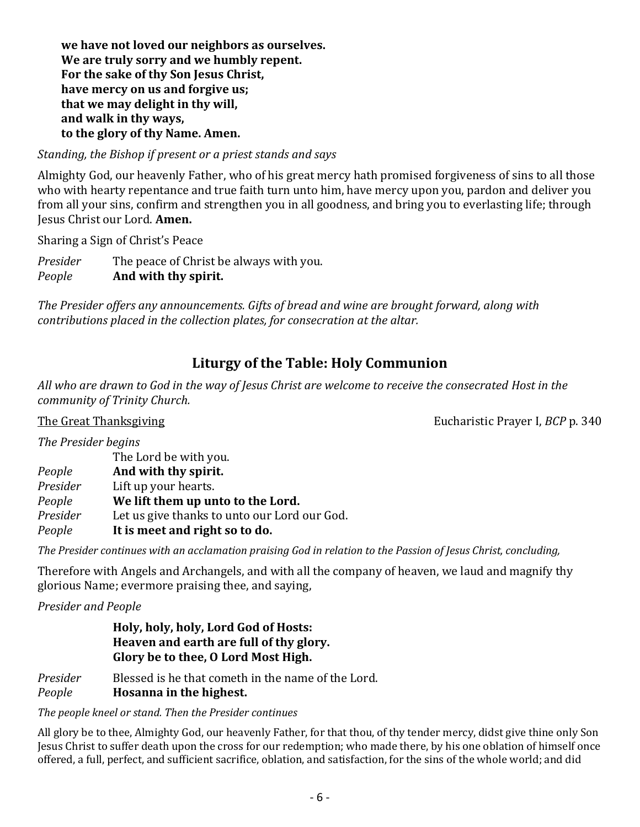**we have not loved our neighbors as ourselves. We are truly sorry and we humbly repent. For the sake of thy Son Jesus Christ, have mercy on us and forgive us; that we may delight in thy will, and walk in thy ways, to the glory of thy Name. Amen.**

*Standing, the Bishop if present or a priest stands and says*

Almighty God, our heavenly Father, who of his great mercy hath promised forgiveness of sins to all those who with hearty repentance and true faith turn unto him, have mercy upon you, pardon and deliver you from all your sins, confirm and strengthen you in all goodness, and bring you to everlasting life; through Jesus Christ our Lord. **Amen.**

Sharing a Sign of Christ's Peace

*Presider* The peace of Christ be always with you. *People* **And with thy spirit.**

*The Presider offers any announcements. Gifts of bread and wine are brought forward, along with contributions placed in the collection plates, for consecration at the altar.*

# **Liturgy of the Table: Holy Communion**

*All who are drawn to God in the way of Jesus Christ are welcome to receive the consecrated Host in the community of Trinity Church.*

The Great Thanksgiving **The Great Thanksgiving Eucharistic Prayer I**, *BCP* p. 340

*The Presider begins*

The Lord be with you. *People* **And with thy spirit.**

*Presider* Lift up your hearts.

*People* **We lift them up unto to the Lord.**

*Presider* Let us give thanks to unto our Lord our God.

*People* **It is meet and right so to do.**

*The Presider continues with an acclamation praising God in relation to the Passion of Jesus Christ, concluding,*

Therefore with Angels and Archangels, and with all the company of heaven, we laud and magnify thy glorious Name; evermore praising thee, and saying,

*Presider and People*

**Holy, holy, holy, Lord God of Hosts: Heaven and earth are full of thy glory. Glory be to thee, O Lord Most High.**

*Presider* Blessed is he that cometh in the name of the Lord. *People* **Hosanna in the highest.**

*The people kneel or stand. Then the Presider continues*

All glory be to thee, Almighty God, our heavenly Father, for that thou, of thy tender mercy, didst give thine only Son Jesus Christ to suffer death upon the cross for our redemption; who made there, by his one oblation of himself once offered, a full, perfect, and sufficient sacrifice, oblation, and satisfaction, for the sins of the whole world; and did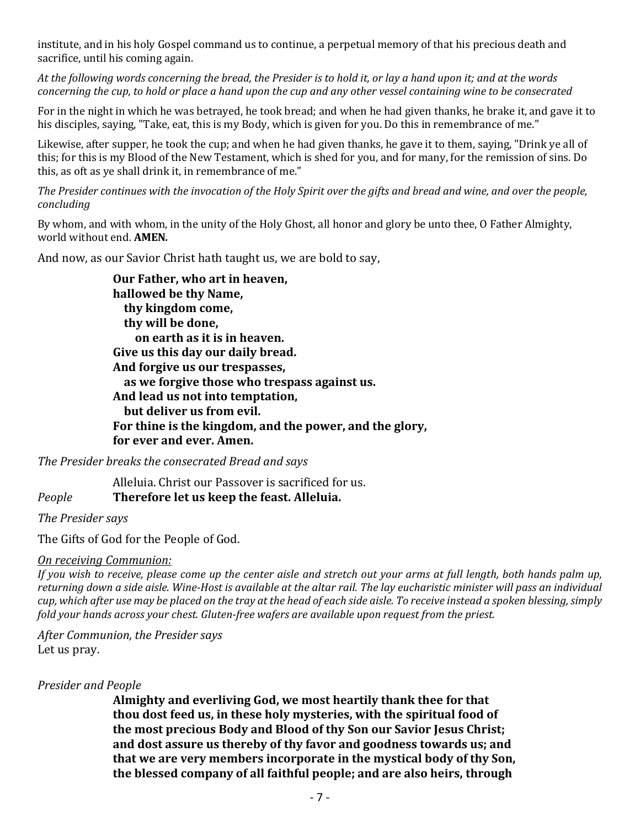institute, and in his holy Gospel command us to continue, a perpetual memory of that his precious death and sacrifice, until his coming again.

*At the following words concerning the bread, the Presider is to hold it, or lay a hand upon it; and at the words concerning the cup, to hold or place a hand upon the cup and any other vessel containing wine to be consecrated*

For in the night in which he was betrayed, he took bread; and when he had given thanks, he brake it, and gave it to his disciples, saying, "Take, eat, this is my Body, which is given for you. Do this in remembrance of me."

Likewise, after supper, he took the cup; and when he had given thanks, he gave it to them, saying, "Drink ye all of this; for this is my Blood of the New Testament, which is shed for you, and for many, for the remission of sins. Do this, as oft as ye shall drink it, in remembrance of me."

*The Presider continues with the invocation of the Holy Spirit over the gifts and bread and wine, and over the people, concluding*

By whom, and with whom, in the unity of the Holy Ghost, all honor and glory be unto thee, O Father Almighty, world without end. **AMEN***.*

And now, as our Savior Christ hath taught us, we are bold to say,

**Our Father, who art in heaven, hallowed be thy Name, thy kingdom come, thy will be done, on earth as it is in heaven. Give us this day our daily bread. And forgive us our trespasses, as we forgive those who trespass against us. And lead us not into temptation, but deliver us from evil. For thine is the kingdom, and the power, and the glory, for ever and ever. Amen.**

*The Presider breaks the consecrated Bread and says*

Alleluia. Christ our Passover is sacrificed for us.

*People* **Therefore let us keep the feast. Alleluia.**

*The Presider says*

The Gifts of God for the People of God.

#### *On receiving Communion:*

*If you wish to receive, please come up the center aisle and stretch out your arms at full length, both hands palm up, returning down a side aisle. Wine-Host is available at the altar rail. The lay eucharistic minister will pass an individual cup, which after use may be placed on the tray at the head of each side aisle. To receive instead a spoken blessing, simply fold your hands across your chest. Gluten-free wafers are available upon request from the priest.*

*After Communion, the Presider says* Let us pray.

#### *Presider and People*

**Almighty and everliving God, we most heartily thank thee for that thou dost feed us, in these holy mysteries, with the spiritual food of the most precious Body and Blood of thy Son our Savior Jesus Christ; and dost assure us thereby of thy favor and goodness towards us; and that we are very members incorporate in the mystical body of thy Son, the blessed company of all faithful people; and are also heirs, through**